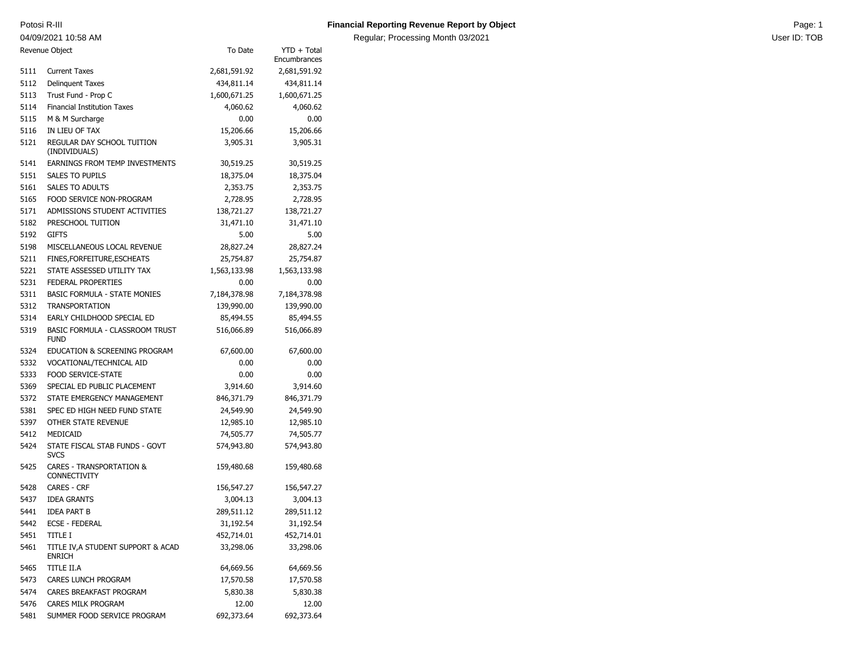04/09/2021 10:58 AM

Regular; Processing Month 03/2021 Contract the User ID: TOB

| Revenue Object |                                                     | To Date      | YTD + Total<br>Encumbrances |
|----------------|-----------------------------------------------------|--------------|-----------------------------|
| 5111           | <b>Current Taxes</b>                                | 2,681,591.92 | 2,681,591.92                |
| 5112           | <b>Delinquent Taxes</b>                             | 434,811.14   | 434,811.14                  |
| 5113           | Trust Fund - Prop C                                 | 1,600,671.25 | 1,600,671.25                |
| 5114           | <b>Financial Institution Taxes</b>                  | 4,060.62     | 4,060.62                    |
| 5115           | M & M Surcharge                                     | 0.00         | 0.00                        |
| 5116           | IN LIEU OF TAX                                      | 15,206.66    | 15,206.66                   |
| 5121           | REGULAR DAY SCHOOL TUITION                          | 3,905.31     | 3,905.31                    |
|                | (INDIVIDUALS)                                       |              |                             |
| 5141           | <b>EARNINGS FROM TEMP INVESTMENTS</b>               | 30,519.25    | 30,519.25                   |
| 5151           | SALES TO PUPILS                                     | 18,375.04    | 18,375.04                   |
| 5161           | <b>SALES TO ADULTS</b>                              | 2,353.75     | 2,353.75                    |
| 5165           | FOOD SERVICE NON-PROGRAM                            | 2,728.95     | 2,728.95                    |
| 5171           | ADMISSIONS STUDENT ACTIVITIES                       | 138,721.27   | 138,721.27                  |
| 5182           | PRESCHOOL TUITION                                   | 31,471.10    | 31,471.10                   |
| 5192           | <b>GIFTS</b>                                        | 5.00         | 5.00                        |
| 5198           | MISCELLANEOUS LOCAL REVENUE                         | 28,827.24    | 28,827.24                   |
| 5211           | FINES, FORFEITURE, ESCHEATS                         | 25,754.87    | 25,754.87                   |
| 5221           | STATE ASSESSED UTILITY TAX                          | 1,563,133.98 | 1,563,133.98                |
| 5231           | FEDERAL PROPERTIES                                  | 0.00         | 0.00                        |
| 5311           | <b>BASIC FORMULA - STATE MONIES</b>                 | 7,184,378.98 | 7,184,378.98                |
| 5312           | <b>TRANSPORTATION</b>                               | 139,990.00   | 139,990.00                  |
| 5314           | EARLY CHILDHOOD SPECIAL ED                          | 85,494.55    | 85,494.55                   |
| 5319           | BASIC FORMULA - CLASSROOM TRUST<br><b>FUND</b>      | 516,066.89   | 516,066.89                  |
| 5324           | EDUCATION & SCREENING PROGRAM                       | 67,600.00    | 67,600.00                   |
| 5332           | VOCATIONAL/TECHNICAL AID                            | 0.00         | 0.00                        |
| 5333           | <b>FOOD SERVICE-STATE</b>                           | 0.00         | 0.00                        |
| 5369           | SPECIAL ED PUBLIC PLACEMENT                         | 3,914.60     | 3,914.60                    |
| 5372           | STATE EMERGENCY MANAGEMENT                          | 846,371.79   | 846,371.79                  |
| 5381           | SPEC ED HIGH NEED FUND STATE                        | 24,549.90    | 24,549.90                   |
| 5397           | OTHER STATE REVENUE                                 | 12,985.10    | 12,985.10                   |
| 5412           | MEDICAID                                            | 74,505.77    | 74,505.77                   |
| 5424           | STATE FISCAL STAB FUNDS - GOVT<br><b>SVCS</b>       | 574,943.80   | 574,943.80                  |
| 5425           | CARES - TRANSPORTATION &<br><b>CONNECTIVITY</b>     | 159,480.68   | 159,480.68                  |
| 5428           | <b>CARES - CRF</b>                                  | 156,547.27   | 156,547.27                  |
| 5437           | <b>IDEA GRANTS</b>                                  | 3,004.13     | 3,004.13                    |
| 5441           | <b>IDEA PART B</b>                                  | 289,511.12   | 289,511.12                  |
| 5442           | <b>ECSE - FEDERAL</b>                               | 31,192.54    | 31,192.54                   |
| 5451           | TITLE I                                             | 452,714.01   | 452,714.01                  |
| 5461           | TITLE IV, A STUDENT SUPPORT & ACAD<br><b>ENRICH</b> | 33,298.06    | 33,298.06                   |
| 5465           | TITLE II.A                                          | 64,669.56    | 64,669.56                   |
| 5473           | CARES LUNCH PROGRAM                                 | 17,570.58    | 17,570.58                   |
| 5474           | CARES BREAKFAST PROGRAM                             | 5,830.38     | 5,830.38                    |
| 5476           | CARES MILK PROGRAM                                  | 12.00        | 12.00                       |
| 5481           | SUMMER FOOD SERVICE PROGRAM                         | 692,373.64   | 692,373.64                  |